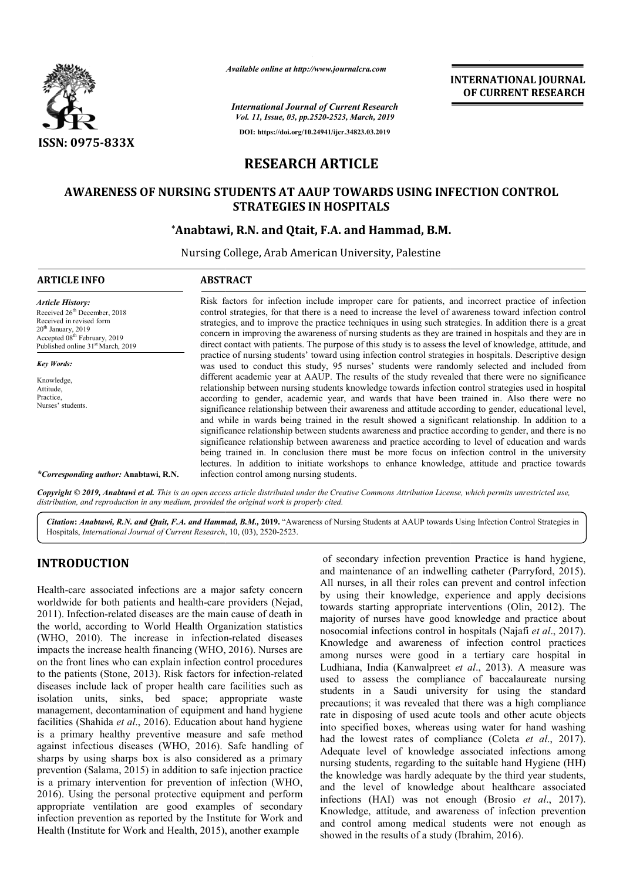

*Available online at http://www.journalcra.com*

**INTERNATIONAL JOURNAL OF CURRENT RESEARCH**

*International Journal of Current Research Vol. 11, Issue, 03, pp.2520-2523, March, 2019* **DOI: https://doi.org/10.24941/ijcr.34823.03.2019**

# **RESEARCH ARTICLE**

# **AWARENESS OF NURSING STUDENTS AT AAUP TOWARDS USING INFECTION CONTROL**  NURSING STUDENTS AT AAUP TOWARDS USING INI<br>STRATEGIES IN HOSPITALS<br>Anabtawi, R.N. and Qtait, F.A. and Hammad, B.M.\* **STRATEGIES IN HOSPITALS**

Nursing College, Arab American University, Palestine

| <b>ARTICLE INFO</b>                                                                                                                                                                                      | <b>ABSTRACT</b>                                                                                                                                                                                                                                                                                                                                                                                                                                                                                                                                                                                                                                                                                                                                                                                                                                                                                                                                                                                                                                                                                                                                              |
|----------------------------------------------------------------------------------------------------------------------------------------------------------------------------------------------------------|--------------------------------------------------------------------------------------------------------------------------------------------------------------------------------------------------------------------------------------------------------------------------------------------------------------------------------------------------------------------------------------------------------------------------------------------------------------------------------------------------------------------------------------------------------------------------------------------------------------------------------------------------------------------------------------------------------------------------------------------------------------------------------------------------------------------------------------------------------------------------------------------------------------------------------------------------------------------------------------------------------------------------------------------------------------------------------------------------------------------------------------------------------------|
| <b>Article History:</b><br>Received 26th December, 2018<br>Received in revised form<br>$20th$ January, 2019<br>Accepted 08 <sup>th</sup> February, 2019<br>Published online 31 <sup>st</sup> March, 2019 | Risk factors for infection include improper care for patients, and incorrect practice of infection<br>control strategies, for that there is a need to increase the level of awareness toward infection control<br>strategies, and to improve the practice techniques in using such strategies. In addition there is a great<br>concern in improving the awareness of nursing students as they are trained in hospitals and they are in<br>direct contact with patients. The purpose of this study is to assess the level of knowledge, attitude, and                                                                                                                                                                                                                                                                                                                                                                                                                                                                                                                                                                                                         |
| <b>Key Words:</b><br>Knowledge,<br>Attitude,<br>Practice,<br>Nurses' students.                                                                                                                           | practice of nursing students' toward using infection control strategies in hospitals. Descriptive design<br>was used to conduct this study, 95 nurses' students were randomly selected and included from<br>different academic year at AAUP. The results of the study revealed that there were no significance<br>relationship between nursing students knowledge towards infection control strategies used in hospital<br>according to gender, academic year, and wards that have been trained in. Also there were no<br>significance relationship between their awareness and attitude according to gender, educational level,<br>and while in wards being trained in the result showed a significant relationship. In addition to a<br>significance relationship between students awareness and practice according to gender, and there is no<br>significance relationship between awareness and practice according to level of education and wards<br>being trained in. In conclusion there must be more focus on infection control in the university<br>lectures. In addition to initiate workshops to enhance knowledge, attitude and practice towards |
| <i>*Corresponding author: Anabtawi, R.N.</i>                                                                                                                                                             | infection control among nursing students.                                                                                                                                                                                                                                                                                                                                                                                                                                                                                                                                                                                                                                                                                                                                                                                                                                                                                                                                                                                                                                                                                                                    |

Copyright © 2019, Anabtawi et al. This is an open access article distributed under the Creative Commons Attribution License, which permits unrestricted use, *distribution, and reproduction in any medium, provided the original work is properly cited.*

Citation: Anabtawi, R.N. and Qtait, F.A. and Hammad, B.M., 2019. "Awareness of Nursing Students at AAUP towards Using Infection Control Strategies in Hospitals, *International Journal of Current Research* , 10, (03), 2520-2523.

## **INTRODUCTION**

Health-care associated infections are a major safety concern Health-care associated infections are a major safety concern<br>worldwide for both patients and health-care providers (Nejad, 2011). Infection-related diseases are the main cause of death in the world, according to World Health Organization statistics (WHO, 2010). The increase in infection-related diseases impacts the increase health financing (WHO, 2016 , 2016). Nurses are on the front lines who can explain infection control procedures on the front lines who can explain infection control procedures<br>to the patients (Stone, 2013). Risk factors for infection-related diseases include lack of proper health care facilities such as isolation units, sinks, bed space; appropriate waste management, decontamination of equipment and hand hygiene facilities (Shahida *et al*., 2016). Education about hand hygiene is a primary healthy preventive measure and safe method against infectious diseases (WHO, 2016). Safe handling of against infectious diseases (WHO, 2016). Safe handling of sharps by using sharps box is also considered as a primary prevention (Salama, 2015) in addition to safe injection practice is a primary intervention for prevention of infection (WHO, 2016). Using the personal protective equipment and perform appropriate ventilation are good examples of secondary infection prevention as reported by the Institute for Work and Health (Institute for Work and Health, 2015), another example n-related diseases are the main cause of death in<br>ording to World Health Organization statistics<br>The increase in infection-related diseases

**RODUCTION**<br> **Solution** of secondary infections are a major safety concern<br>
and maintenance of an indwelling catteter (Parryford, 2015).<br>
All nurses, in all their roles can prevent and control infection<br>
wide for both pat of secondary infection prevention Practice is hand hygiene, and maintenance of an indwelling catheter (Parryford, 2015). All nurses, in all their roles can prevent and control infection by using their knowledge, experience and apply decisions towards starting appropriate interventions (Olin, 2012). The majority of nurses have good knowledge and practice about majority of nurses have good knowledge and practice about nosocomial infections control in hospitals (Najafi *et al.*, 2017). Knowledge and awareness of infection control practices Knowledge and awareness of infection control practices among nurses were good in a tertiary care hospital in Ludhiana, India (Kanwalpreet et al., 2013). A measure was used to assess the compliance of baccalaureate nursing students in a Saudi university for using the standard precautions; it was revealed that there was a high compliance rate in disposing of used acute tools and other acute objects into specified boxes, whereas using water for hand washing had the lowest rates of compliance (Coleta *et al.*, 2017). Adequate level of knowledge associated infections among nursing students, regarding to the suitable hand Hygiene (HH) the knowledge was hardly adequate by the third year students, and the level of knowledge about healthcare associated infections (HAI) was not enough (Brosio  $et \ al., 2017$ ). Knowledge, attitude, and awareness of infection prevention and control among medical students were not enough as showed in the results of a study (Ibrahim, 2016). their roles can prevent and control infection<br>their knowledge, experience and apply decisions<br>starting appropriate interventions (Olin, 2012). The precautions; it was revealed that there was a high compliance<br>rate in disposing of used acute tools and other acute objects<br>into specified boxes, whereas using water for hand washing<br>had the lowest rates of compliance (Col Adequate level of knowledge associated infections among nursing students, regarding to the suitable hand Hygiene (HH) the knowledge was hardly adequate by the third year students, and the level of knowledge about healthcar wledge, attitude, and awareness of infection<br>control among medical students were not<br>ed in the results of a study (Ibrahim, 2016).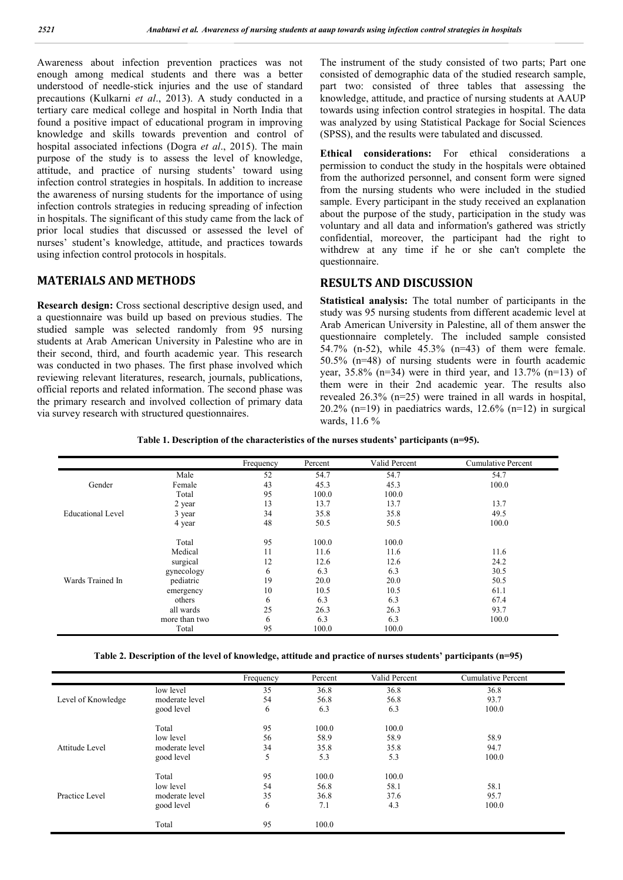Awareness about infection prevention practices was not enough among medical students and there was a better understood of needle-stick injuries and the use of standard precautions (Kulkarni *et al*., 2013). A study conducted in a tertiary care medical college and hospital in North India that found a positive impact of educational program in improving knowledge and skills towards prevention and control of hospital associated infections (Dogra *et al*., 2015). The main purpose of the study is to assess the level of knowledge, attitude, and practice of nursing students' toward using infection control strategies in hospitals. In addition to increase the awareness of nursing students for the importance of using infection controls strategies in reducing spreading of infection in hospitals. The significant of this study came from the lack of prior local studies that discussed or assessed the level of nurses' student's knowledge, attitude, and practices towards using infection control protocols in hospitals.

## **MATERIALS AND METHODS**

**Research design:** Cross sectional descriptive design used, and a questionnaire was build up based on previous studies. The studied sample was selected randomly from 95 nursing students at Arab American University in Palestine who are in their second, third, and fourth academic year. This research was conducted in two phases. The first phase involved which reviewing relevant literatures, research, journals, publications, official reports and related information. The second phase was the primary research and involved collection of primary data via survey research with structured questionnaires.

The instrument of the study consisted of two parts; Part one consisted of demographic data of the studied research sample, part two: consisted of three tables that assessing the knowledge, attitude, and practice of nursing students at AAUP towards using infection control strategies in hospital. The data was analyzed by using Statistical Package for Social Sciences (SPSS), and the results were tabulated and discussed.

**Ethical considerations:** For ethical considerations a permission to conduct the study in the hospitals were obtained from the authorized personnel, and consent form were signed from the nursing students who were included in the studied sample. Every participant in the study received an explanation about the purpose of the study, participation in the study was voluntary and all data and information's gathered was strictly confidential, moreover, the participant had the right to withdrew at any time if he or she can't complete the questionnaire.

## **RESULTS AND DISCUSSION**

**Statistical analysis:** The total number of participants in the study was 95 nursing students from different academic level at Arab American University in Palestine, all of them answer the questionnaire completely. The included sample consisted 54.7% (n-52), while 45.3% (n=43) of them were female. 50.5% (n=48) of nursing students were in fourth academic year,  $35.8\%$  (n=34) were in third year, and  $13.7\%$  (n=13) of them were in their 2nd academic year. The results also revealed 26.3% (n=25) were trained in all wards in hospital, 20.2% (n=19) in paediatrics wards,  $12.6\%$  (n=12) in surgical wards, 11.6 %

|                          |               | Frequency | Percent | Valid Percent | <b>Cumulative Percent</b> |
|--------------------------|---------------|-----------|---------|---------------|---------------------------|
|                          | Male          | 52        | 54.7    | 54.7          | 54.7                      |
| Gender                   | Female        | 43        | 45.3    | 45.3          | 100.0                     |
|                          | Total         | 95        | 100.0   | 100.0         |                           |
|                          | 2 year        | 13        | 13.7    | 13.7          | 13.7                      |
| <b>Educational Level</b> | 3 year        | 34        | 35.8    | 35.8          | 49.5                      |
|                          | 4 year        | 48        | 50.5    | 50.5          | 100.0                     |
|                          | Total         | 95        | 100.0   | 100.0         |                           |
|                          | Medical       | 11        | 11.6    | 11.6          | 11.6                      |
|                          | surgical      | 12        | 12.6    | 12.6          | 24.2                      |
|                          | gynecology    | 6         | 6.3     | 6.3           | 30.5                      |
| Wards Trained In         | pediatric     | 19        | 20.0    | 20.0          | 50.5                      |
|                          | emergency     | 10        | 10.5    | 10.5          | 61.1                      |
|                          | others        | 6         | 6.3     | 6.3           | 67.4                      |
|                          | all wards     | 25        | 26.3    | 26.3          | 93.7                      |
|                          | more than two | 6         | 6.3     | 6.3           | 100.0                     |
|                          | Total         | 95        | 100.0   | 100.0         |                           |

|  |  | Table 2. Description of the level of knowledge, attitude and practice of nurses students' participants (n=95) |  |  |
|--|--|---------------------------------------------------------------------------------------------------------------|--|--|
|  |  |                                                                                                               |  |  |

|                    |                | Frequency | Percent | Valid Percent | Cumulative Percent |  |
|--------------------|----------------|-----------|---------|---------------|--------------------|--|
|                    | low level      | 35        | 36.8    | 36.8          | 36.8               |  |
| Level of Knowledge | moderate level | 54        | 56.8    | 56.8          | 93.7               |  |
|                    | good level     | 6         | 6.3     | 6.3           | 100.0              |  |
|                    | Total          | 95        | 100.0   | 100.0         |                    |  |
|                    | low level      | 56        | 58.9    | 58.9          | 58.9               |  |
| Attitude Level     | moderate level | 34        | 35.8    | 35.8          | 94.7               |  |
|                    | good level     | 5         | 5.3     | 5.3           | 100.0              |  |
|                    | Total          | 95        | 100.0   | 100.0         |                    |  |
|                    | low level      | 54        | 56.8    | 58.1          | 58.1               |  |
| Practice Level     | moderate level | 35        | 36.8    | 37.6          | 95.7               |  |
|                    | good level     | 6         | 7.1     | 4.3           | 100.0              |  |
|                    | Total          | 95        | 100.0   |               |                    |  |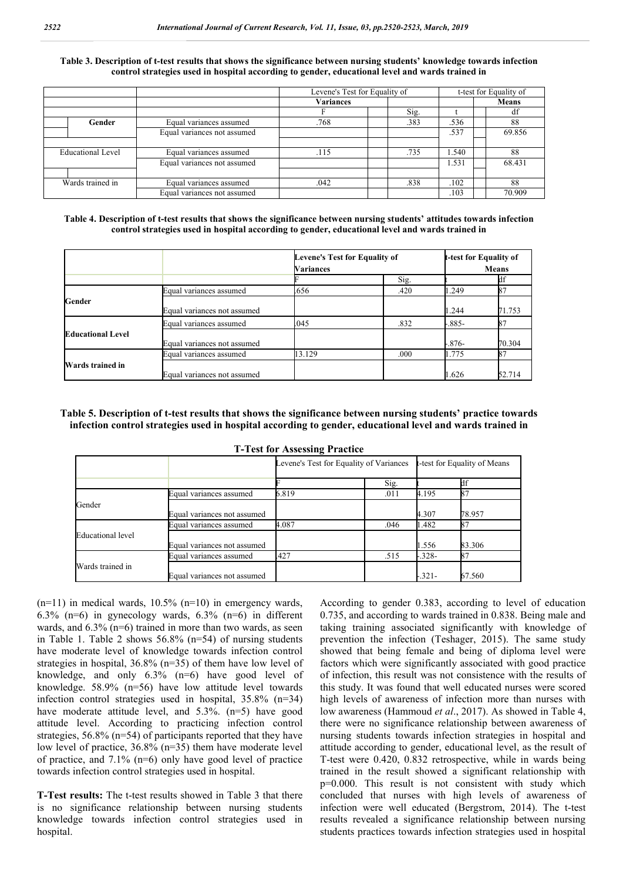#### **Table 3. Description of t-test results that shows the significance between nursing students' knowledge towards infection control strategies used in hospital according to gender, educational level and wards trained in**

|                          |                             | Levene's Test for Equality of |      | t-test for Equality of |              |
|--------------------------|-----------------------------|-------------------------------|------|------------------------|--------------|
|                          |                             | <b>Variances</b>              |      |                        | <b>Means</b> |
|                          |                             |                               | Sig. |                        | df           |
| Gender                   | Equal variances assumed     | .768                          | .383 | .536                   | 88           |
|                          | Equal variances not assumed |                               |      | .537                   | 69.856       |
|                          |                             |                               |      |                        |              |
| <b>Educational Level</b> | Equal variances assumed     | .115                          | .735 | 1.540                  | 88           |
|                          | Equal variances not assumed |                               |      | 1.531                  | 68.431       |
|                          |                             |                               |      |                        |              |
| Wards trained in         | Equal variances assumed     | .042                          | .838 | .102                   | 88           |
|                          | Equal variances not assumed |                               |      | .103                   | 70.909       |

**Table 4. Description of t-test results that shows the significance between nursing students' attitudes towards infection control strategies used in hospital according to gender, educational level and wards trained in**

|                          |                             | Levene's Test for Equality of |      |              | t-test for Equality of |
|--------------------------|-----------------------------|-------------------------------|------|--------------|------------------------|
|                          |                             | Variances                     |      | <b>Means</b> |                        |
|                          |                             |                               | Sig. |              | df                     |
|                          | Equal variances assumed     | 656                           | .420 | 1.249        |                        |
| Gender                   | Equal variances not assumed |                               |      | 1.244        | 71.753                 |
|                          | Equal variances assumed     | .045                          | .832 | $-.885-$     |                        |
| <b>Educational Level</b> | Equal variances not assumed |                               |      | $-.876-$     | 70.304                 |
|                          | Equal variances assumed     | 13.129                        | .000 | 1.775        |                        |
| Wards trained in         | Equal variances not assumed |                               |      | 1.626        | 52.714                 |

**Table 5. Description of t-test results that shows the significance between nursing students' practice towards infection control strategies used in hospital according to gender, educational level and wards trained in**

| <b>T-Test for Assessing Practice</b> |  |
|--------------------------------------|--|
|--------------------------------------|--|

|                          |                             | Levene's Test for Equality of Variances |      | t-test for Equality of Means |        |
|--------------------------|-----------------------------|-----------------------------------------|------|------------------------------|--------|
|                          |                             |                                         | Sig. |                              |        |
|                          | Equal variances assumed     | 6.819                                   | .011 | 4.195                        |        |
| Gender                   | Equal variances not assumed |                                         |      | 4.307                        | 78.957 |
|                          | Equal variances assumed     | 4.087                                   | .046 | 1.482                        |        |
| <b>Educational</b> level | Equal variances not assumed |                                         |      | 1.556                        | 83.306 |
|                          | Equal variances assumed     | .427                                    | .515 | $-.328-$                     |        |
| Wards trained in         | Equal variances not assumed |                                         |      | $-321-$                      | 67.560 |

 $(n=11)$  in medical wards, 10.5%  $(n=10)$  in emergency wards, 6.3% (n=6) in gynecology wards,  $6.3\%$  (n=6) in different wards, and 6.3% (n=6) trained in more than two wards, as seen in Table 1. Table 2 shows 56.8% (n=54) of nursing students have moderate level of knowledge towards infection control strategies in hospital, 36.8% (n=35) of them have low level of knowledge, and only 6.3% (n=6) have good level of knowledge. 58.9% (n=56) have low attitude level towards infection control strategies used in hospital, 35.8% (n=34) have moderate attitude level, and 5.3%. (n=5) have good attitude level. According to practicing infection control strategies, 56.8% (n=54) of participants reported that they have low level of practice, 36.8% (n=35) them have moderate level of practice, and 7.1% (n=6) only have good level of practice towards infection control strategies used in hospital.

**T-Test results:** The t-test results showed in Table 3 that there is no significance relationship between nursing students knowledge towards infection control strategies used in hospital.

According to gender 0.383, according to level of education 0.735, and according to wards trained in 0.838. Being male and taking training associated significantly with knowledge of prevention the infection (Teshager, 2015). The same study showed that being female and being of diploma level were factors which were significantly associated with good practice of infection, this result was not consistence with the results of this study. It was found that well educated nurses were scored high levels of awareness of infection more than nurses with low awareness (Hammoud *et al*., 2017). As showed in Table 4, there were no significance relationship between awareness of nursing students towards infection strategies in hospital and attitude according to gender, educational level, as the result of T-test were 0.420, 0.832 retrospective, while in wards being trained in the result showed a significant relationship with p=0.000. This result is not consistent with study which concluded that nurses with high levels of awareness of infection were well educated (Bergstrom, 2014). The t-test results revealed a significance relationship between nursing students practices towards infection strategies used in hospital